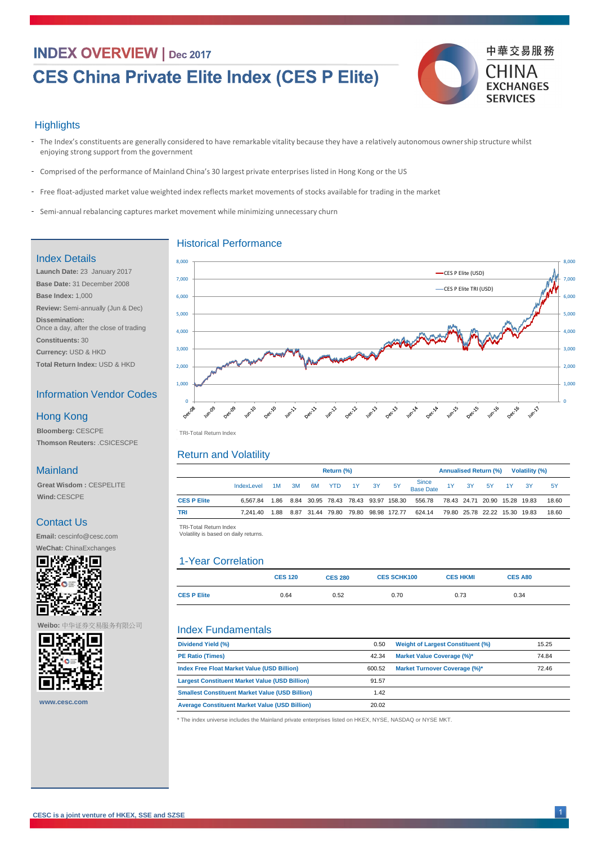## **INDEX OVERVIEW | Dec 2017**

# **CES China Private Elite Index (CES P Elite)**



### **Highlights**

- The Index's constituents are generally considered to have remarkable vitality because they have a relatively autonomous ownership structure whilst enjoying strong support from the government
- Comprised of the performance of Mainland China's 30 largest private enterprises listed in Hong Kong or the US -
- Free float-adjusted market value weighted index reflects market movements of stocks available for trading in the market
- Semi-annual rebalancing captures market movement while minimizing unnecessary churn

|                    | <b>Return (%)</b> |  |  |           |            |       | <b>Annualised Return (%)</b><br>Volatility (%) |                                          |                    |                               |  |          |  |    |       |  |
|--------------------|-------------------|--|--|-----------|------------|-------|------------------------------------------------|------------------------------------------|--------------------|-------------------------------|--|----------|--|----|-------|--|
|                    | IndexLevel 1M 3M  |  |  | <b>6M</b> | <b>YTD</b> | $-1Y$ | 3Y                                             | - 5Y                                     | Since<br>Base Date | 1Y                            |  | 3Y 5Y 1Y |  | 3Y | 5Y    |  |
| <b>CES P Elite</b> | 6.567.84          |  |  |           |            |       |                                                | 1.86 8.84 30.95 78.43 78.43 93.97 158.30 | 556.78             | 78.43 24.71 20.90 15.28 19.83 |  |          |  |    | 18.60 |  |
| TRI                | 7.241.40          |  |  |           |            |       |                                                | 1.88 8.87 31.44 79.80 79.80 98.98 172.77 | 624.14             | 79.80 25.78 22.22 15.30 19.83 |  |          |  |    | 18.60 |  |

|                    | <b>CES 120</b> | <b>CES 280</b> | <b>CES SCHK100</b> | <b>CES HKMI</b> | <b>CES A80</b> |
|--------------------|----------------|----------------|--------------------|-----------------|----------------|
| <b>CES P Elite</b> | 0.64           | 0.52           | 0.70               | 0.73            | 0.34           |

| Dividend Yield (%)                                     | 0.50   | <b>Weight of Largest Constituent (%)</b> | 15.25 |
|--------------------------------------------------------|--------|------------------------------------------|-------|
| <b>PE Ratio (Times)</b>                                | 42.34  | <b>Market Value Coverage (%)*</b>        | 74.84 |
| <b>Index Free Float Market Value (USD Billion)</b>     | 600.52 | <b>Market Turnover Coverage (%)*</b>     | 72.46 |
| <b>Largest Constituent Market Value (USD Billion)</b>  | 91.57  |                                          |       |
| <b>Smallest Constituent Market Value (USD Billion)</b> | 1.42   |                                          |       |
| <b>Average Constituent Market Value (USD Billion)</b>  | 20.02  |                                          |       |

| Ŧ |  |
|---|--|

TRI -Total Return Index TRI-Total Return Index

TRI -Total Return Index TRI-Total Return Index

Volatility is based on daily returns. Volatility is based on daily returns.



### Historical Performance

### Return and Volatility

### Index Fundamentals

### Index Details

**Launch Date:** 23 January 2017 **Base Date:** 31 December 2008 **Base Index:** 1,000 **Review:** Semi-annually (Jun & Dec) **Dissemination:**  Once a day, after the close of trading

**Constituents:** 30

**Currency:** USD & HKD

**Total Return Index:** USD & HKD

### Information Vendor Codes

**Bloomberg:** CESCPE **Thomson Reuters:** .CSICESCPE

### Hong Kong

### Mainland

**Great Wisdom :** CESPELITE **Wind:**CESCPE

### Contact Us

**Email:** cescinfo@cesc.com

**WeChat:** ChinaExchanges



\* The index universe includes the Mainland private enterprises listed on HKEX, NYSE, NASDAQ or NYSE MKT.

### **Weibo:** 中华证券交易服务有限公司



**www.cesc.com**

### 1-Year Correlation

1 **CESC is a joint venture of HKEX, SSE and SZSE**